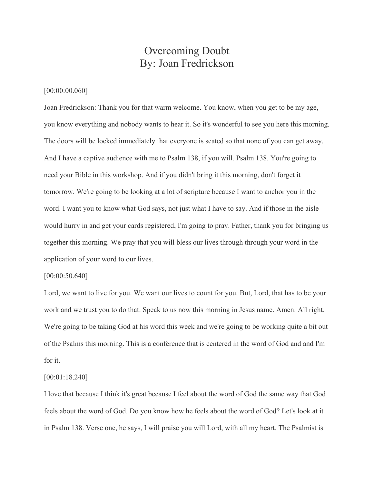# Overcoming Doubt By: Joan Fredrickson

## [00:00:00.060]

Joan Fredrickson: Thank you for that warm welcome. You know, when you get to be my age, you know everything and nobody wants to hear it. So it's wonderful to see you here this morning. The doors will be locked immediately that everyone is seated so that none of you can get away. And I have a captive audience with me to Psalm 138, if you will. Psalm 138. You're going to need your Bible in this workshop. And if you didn't bring it this morning, don't forget it tomorrow. We're going to be looking at a lot of scripture because I want to anchor you in the word. I want you to know what God says, not just what I have to say. And if those in the aisle would hurry in and get your cards registered, I'm going to pray. Father, thank you for bringing us together this morning. We pray that you will bless our lives through through your word in the application of your word to our lives.

#### [00:00:50.640]

Lord, we want to live for you. We want our lives to count for you. But, Lord, that has to be your work and we trust you to do that. Speak to us now this morning in Jesus name. Amen. All right. We're going to be taking God at his word this week and we're going to be working quite a bit out of the Psalms this morning. This is a conference that is centered in the word of God and and I'm for it.

#### [00:01:18.240]

I love that because I think it's great because I feel about the word of God the same way that God feels about the word of God. Do you know how he feels about the word of God? Let's look at it in Psalm 138. Verse one, he says, I will praise you will Lord, with all my heart. The Psalmist is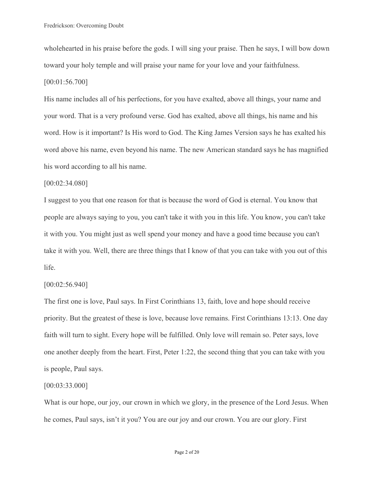wholehearted in his praise before the gods. I will sing your praise. Then he says, I will bow down toward your holy temple and will praise your name for your love and your faithfulness. [00:01:56.700]

His name includes all of his perfections, for you have exalted, above all things, your name and your word. That is a very profound verse. God has exalted, above all things, his name and his word. How is it important? Is His word to God. The King James Version says he has exalted his word above his name, even beyond his name. The new American standard says he has magnified his word according to all his name.

#### [00:02:34.080]

I suggest to you that one reason for that is because the word of God is eternal. You know that people are always saying to you, you can't take it with you in this life. You know, you can't take it with you. You might just as well spend your money and have a good time because you can't take it with you. Well, there are three things that I know of that you can take with you out of this life.

## [00:02:56.940]

The first one is love, Paul says. In First Corinthians 13, faith, love and hope should receive priority. But the greatest of these is love, because love remains. First Corinthians 13:13. One day faith will turn to sight. Every hope will be fulfilled. Only love will remain so. Peter says, love one another deeply from the heart. First, Peter 1:22, the second thing that you can take with you is people, Paul says.

#### [00:03:33.000]

What is our hope, our joy, our crown in which we glory, in the presence of the Lord Jesus. When he comes, Paul says, isn't it you? You are our joy and our crown. You are our glory. First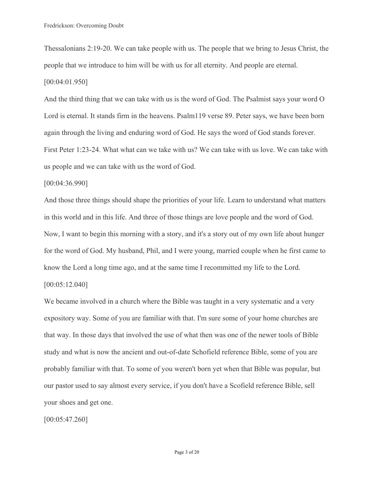Thessalonians 2:19-20. We can take people with us. The people that we bring to Jesus Christ, the people that we introduce to him will be with us for all eternity. And people are eternal. [00:04:01.950]

And the third thing that we can take with us is the word of God. The Psalmist says your word O Lord is eternal. It stands firm in the heavens. Psalm119 verse 89. Peter says, we have been born again through the living and enduring word of God. He says the word of God stands forever. First Peter 1:23-24. What what can we take with us? We can take with us love. We can take with us people and we can take with us the word of God.

## [00:04:36.990]

And those three things should shape the priorities of your life. Learn to understand what matters in this world and in this life. And three of those things are love people and the word of God. Now, I want to begin this morning with a story, and it's a story out of my own life about hunger for the word of God. My husband, Phil, and I were young, married couple when he first came to know the Lord a long time ago, and at the same time I recommitted my life to the Lord. [00:05:12.040]

We became involved in a church where the Bible was taught in a very systematic and a very expository way. Some of you are familiar with that. I'm sure some of your home churches are that way. In those days that involved the use of what then was one of the newer tools of Bible study and what is now the ancient and out-of-date Schofield reference Bible, some of you are probably familiar with that. To some of you weren't born yet when that Bible was popular, but our pastor used to say almost every service, if you don't have a Scofield reference Bible, sell your shoes and get one.

[00:05:47.260]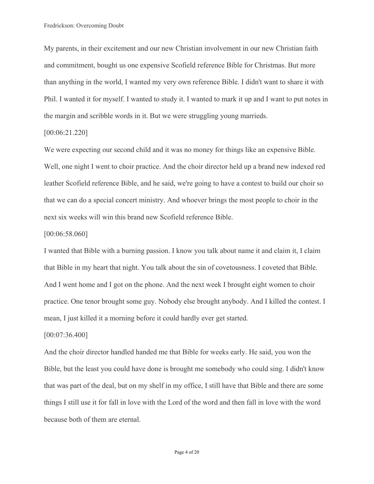My parents, in their excitement and our new Christian involvement in our new Christian faith and commitment, bought us one expensive Scofield reference Bible for Christmas. But more than anything in the world, I wanted my very own reference Bible. I didn't want to share it with Phil. I wanted it for myself. I wanted to study it. I wanted to mark it up and I want to put notes in the margin and scribble words in it. But we were struggling young marrieds.

## [00:06:21.220]

We were expecting our second child and it was no money for things like an expensive Bible. Well, one night I went to choir practice. And the choir director held up a brand new indexed red leather Scofield reference Bible, and he said, we're going to have a contest to build our choir so that we can do a special concert ministry. And whoever brings the most people to choir in the next six weeks will win this brand new Scofield reference Bible.

#### [00:06:58.060]

I wanted that Bible with a burning passion. I know you talk about name it and claim it, I claim that Bible in my heart that night. You talk about the sin of covetousness. I coveted that Bible. And I went home and I got on the phone. And the next week I brought eight women to choir practice. One tenor brought some guy. Nobody else brought anybody. And I killed the contest. I mean, I just killed it a morning before it could hardly ever get started.

#### [00:07:36.400]

And the choir director handled handed me that Bible for weeks early. He said, you won the Bible, but the least you could have done is brought me somebody who could sing. I didn't know that was part of the deal, but on my shelf in my office, I still have that Bible and there are some things I still use it for fall in love with the Lord of the word and then fall in love with the word because both of them are eternal.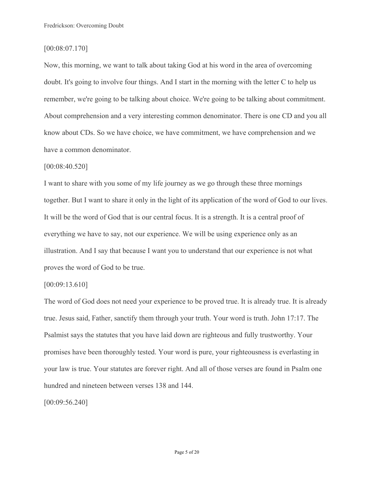## [00:08:07.170]

Now, this morning, we want to talk about taking God at his word in the area of overcoming doubt. It's going to involve four things. And I start in the morning with the letter C to help us remember, we're going to be talking about choice. We're going to be talking about commitment. About comprehension and a very interesting common denominator. There is one CD and you all know about CDs. So we have choice, we have commitment, we have comprehension and we have a common denominator.

## [00:08:40.520]

I want to share with you some of my life journey as we go through these three mornings together. But I want to share it only in the light of its application of the word of God to our lives. It will be the word of God that is our central focus. It is a strength. It is a central proof of everything we have to say, not our experience. We will be using experience only as an illustration. And I say that because I want you to understand that our experience is not what proves the word of God to be true.

## [00:09:13.610]

The word of God does not need your experience to be proved true. It is already true. It is already true. Jesus said, Father, sanctify them through your truth. Your word is truth. John 17:17. The Psalmist says the statutes that you have laid down are righteous and fully trustworthy. Your promises have been thoroughly tested. Your word is pure, your righteousness is everlasting in your law is true. Your statutes are forever right. And all of those verses are found in Psalm one hundred and nineteen between verses 138 and 144.

[00:09:56.240]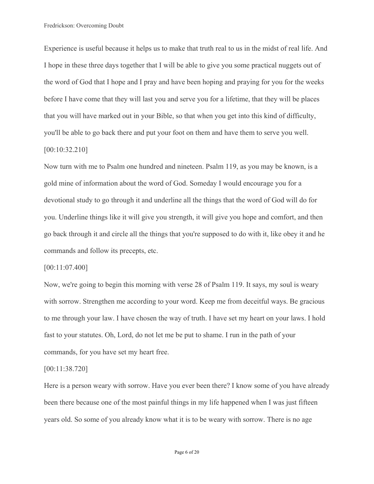Experience is useful because it helps us to make that truth real to us in the midst of real life. And I hope in these three days together that I will be able to give you some practical nuggets out of the word of God that I hope and I pray and have been hoping and praying for you for the weeks before I have come that they will last you and serve you for a lifetime, that they will be places that you will have marked out in your Bible, so that when you get into this kind of difficulty, you'll be able to go back there and put your foot on them and have them to serve you well.

## [00:10:32.210]

Now turn with me to Psalm one hundred and nineteen. Psalm 119, as you may be known, is a gold mine of information about the word of God. Someday I would encourage you for a devotional study to go through it and underline all the things that the word of God will do for you. Underline things like it will give you strength, it will give you hope and comfort, and then go back through it and circle all the things that you're supposed to do with it, like obey it and he commands and follow its precepts, etc.

#### [00:11:07.400]

Now, we're going to begin this morning with verse 28 of Psalm 119. It says, my soul is weary with sorrow. Strengthen me according to your word. Keep me from deceitful ways. Be gracious to me through your law. I have chosen the way of truth. I have set my heart on your laws. I hold fast to your statutes. Oh, Lord, do not let me be put to shame. I run in the path of your commands, for you have set my heart free.

#### [00:11:38.720]

Here is a person weary with sorrow. Have you ever been there? I know some of you have already been there because one of the most painful things in my life happened when I was just fifteen years old. So some of you already know what it is to be weary with sorrow. There is no age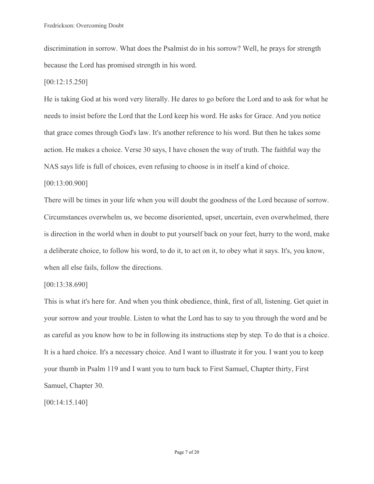discrimination in sorrow. What does the Psalmist do in his sorrow? Well, he prays for strength because the Lord has promised strength in his word.

## [00:12:15.250]

He is taking God at his word very literally. He dares to go before the Lord and to ask for what he needs to insist before the Lord that the Lord keep his word. He asks for Grace. And you notice that grace comes through God's law. It's another reference to his word. But then he takes some action. He makes a choice. Verse 30 says, I have chosen the way of truth. The faithful way the NAS says life is full of choices, even refusing to choose is in itself a kind of choice.

## [00:13:00.900]

There will be times in your life when you will doubt the goodness of the Lord because of sorrow. Circumstances overwhelm us, we become disoriented, upset, uncertain, even overwhelmed, there is direction in the world when in doubt to put yourself back on your feet, hurry to the word, make a deliberate choice, to follow his word, to do it, to act on it, to obey what it says. It's, you know, when all else fails, follow the directions.

## [00:13:38.690]

This is what it's here for. And when you think obedience, think, first of all, listening. Get quiet in your sorrow and your trouble. Listen to what the Lord has to say to you through the word and be as careful as you know how to be in following its instructions step by step. To do that is a choice. It is a hard choice. It's a necessary choice. And I want to illustrate it for you. I want you to keep your thumb in Psalm 119 and I want you to turn back to First Samuel, Chapter thirty, First Samuel, Chapter 30.

[00:14:15.140]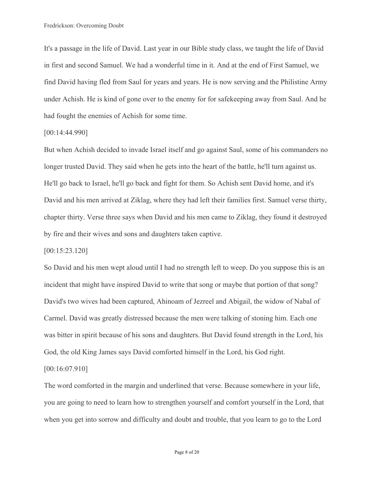It's a passage in the life of David. Last year in our Bible study class, we taught the life of David in first and second Samuel. We had a wonderful time in it. And at the end of First Samuel, we find David having fled from Saul for years and years. He is now serving and the Philistine Army under Achish. He is kind of gone over to the enemy for for safekeeping away from Saul. And he had fought the enemies of Achish for some time.

#### [00:14:44.990]

But when Achish decided to invade Israel itself and go against Saul, some of his commanders no longer trusted David. They said when he gets into the heart of the battle, he'll turn against us. He'll go back to Israel, he'll go back and fight for them. So Achish sent David home, and it's David and his men arrived at Ziklag, where they had left their families first. Samuel verse thirty, chapter thirty. Verse three says when David and his men came to Ziklag, they found it destroyed by fire and their wives and sons and daughters taken captive.

[00:15:23.120]

So David and his men wept aloud until I had no strength left to weep. Do you suppose this is an incident that might have inspired David to write that song or maybe that portion of that song? David's two wives had been captured, Ahinoam of Jezreel and Abigail, the widow of Nabal of Carmel. David was greatly distressed because the men were talking of stoning him. Each one was bitter in spirit because of his sons and daughters. But David found strength in the Lord, his God, the old King James says David comforted himself in the Lord, his God right.

[00:16:07.910]

The word comforted in the margin and underlined that verse. Because somewhere in your life, you are going to need to learn how to strengthen yourself and comfort yourself in the Lord, that when you get into sorrow and difficulty and doubt and trouble, that you learn to go to the Lord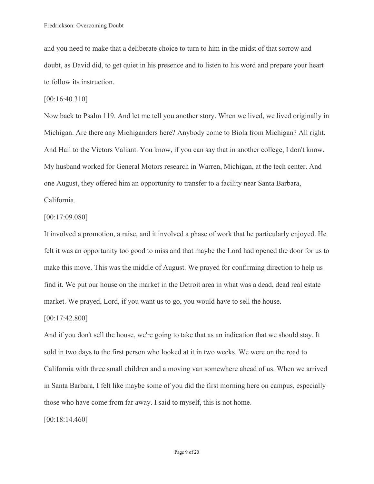and you need to make that a deliberate choice to turn to him in the midst of that sorrow and doubt, as David did, to get quiet in his presence and to listen to his word and prepare your heart to follow its instruction.

[00:16:40.310]

Now back to Psalm 119. And let me tell you another story. When we lived, we lived originally in Michigan. Are there any Michiganders here? Anybody come to Biola from Michigan? All right. And Hail to the Victors Valiant. You know, if you can say that in another college, I don't know. My husband worked for General Motors research in Warren, Michigan, at the tech center. And one August, they offered him an opportunity to transfer to a facility near Santa Barbara, California.

#### [00:17:09.080]

It involved a promotion, a raise, and it involved a phase of work that he particularly enjoyed. He felt it was an opportunity too good to miss and that maybe the Lord had opened the door for us to make this move. This was the middle of August. We prayed for confirming direction to help us find it. We put our house on the market in the Detroit area in what was a dead, dead real estate market. We prayed, Lord, if you want us to go, you would have to sell the house.

#### [00:17:42.800]

And if you don't sell the house, we're going to take that as an indication that we should stay. It sold in two days to the first person who looked at it in two weeks. We were on the road to California with three small children and a moving van somewhere ahead of us. When we arrived in Santa Barbara, I felt like maybe some of you did the first morning here on campus, especially those who have come from far away. I said to myself, this is not home.

[00:18:14.460]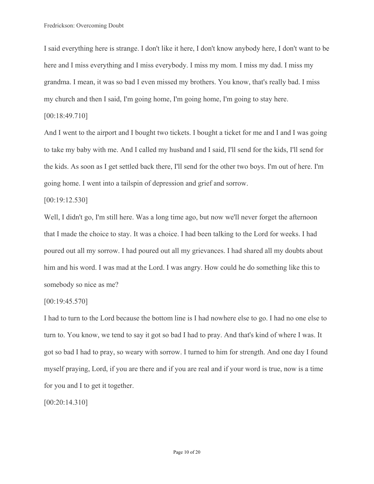I said everything here is strange. I don't like it here, I don't know anybody here, I don't want to be here and I miss everything and I miss everybody. I miss my mom. I miss my dad. I miss my grandma. I mean, it was so bad I even missed my brothers. You know, that's really bad. I miss my church and then I said, I'm going home, I'm going home, I'm going to stay here.

## [00:18:49.710]

And I went to the airport and I bought two tickets. I bought a ticket for me and I and I was going to take my baby with me. And I called my husband and I said, I'll send for the kids, I'll send for the kids. As soon as I get settled back there, I'll send for the other two boys. I'm out of here. I'm going home. I went into a tailspin of depression and grief and sorrow.

## [00:19:12.530]

Well, I didn't go, I'm still here. Was a long time ago, but now we'll never forget the afternoon that I made the choice to stay. It was a choice. I had been talking to the Lord for weeks. I had poured out all my sorrow. I had poured out all my grievances. I had shared all my doubts about him and his word. I was mad at the Lord. I was angry. How could he do something like this to somebody so nice as me?

## [00:19:45.570]

I had to turn to the Lord because the bottom line is I had nowhere else to go. I had no one else to turn to. You know, we tend to say it got so bad I had to pray. And that's kind of where I was. It got so bad I had to pray, so weary with sorrow. I turned to him for strength. And one day I found myself praying, Lord, if you are there and if you are real and if your word is true, now is a time for you and I to get it together.

[00:20:14.310]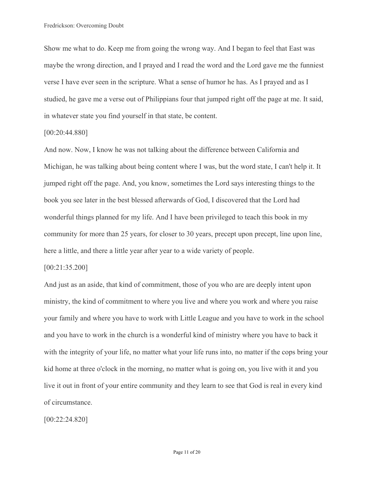Show me what to do. Keep me from going the wrong way. And I began to feel that East was maybe the wrong direction, and I prayed and I read the word and the Lord gave me the funniest verse I have ever seen in the scripture. What a sense of humor he has. As I prayed and as I studied, he gave me a verse out of Philippians four that jumped right off the page at me. It said, in whatever state you find yourself in that state, be content.

#### [00:20:44.880]

And now. Now, I know he was not talking about the difference between California and Michigan, he was talking about being content where I was, but the word state, I can't help it. It jumped right off the page. And, you know, sometimes the Lord says interesting things to the book you see later in the best blessed afterwards of God, I discovered that the Lord had wonderful things planned for my life. And I have been privileged to teach this book in my community for more than 25 years, for closer to 30 years, precept upon precept, line upon line, here a little, and there a little year after year to a wide variety of people.

#### [00:21:35.200]

And just as an aside, that kind of commitment, those of you who are are deeply intent upon ministry, the kind of commitment to where you live and where you work and where you raise your family and where you have to work with Little League and you have to work in the school and you have to work in the church is a wonderful kind of ministry where you have to back it with the integrity of your life, no matter what your life runs into, no matter if the cops bring your kid home at three o'clock in the morning, no matter what is going on, you live with it and you live it out in front of your entire community and they learn to see that God is real in every kind of circumstance.

[00:22:24.820]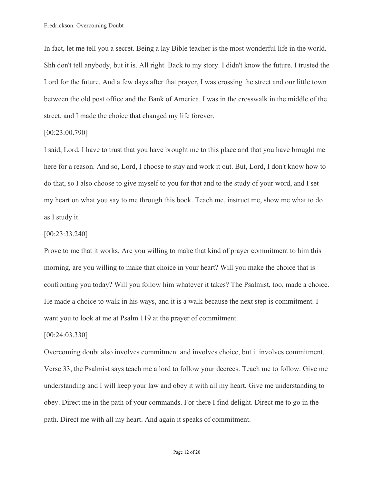In fact, let me tell you a secret. Being a lay Bible teacher is the most wonderful life in the world. Shh don't tell anybody, but it is. All right. Back to my story. I didn't know the future. I trusted the Lord for the future. And a few days after that prayer, I was crossing the street and our little town between the old post office and the Bank of America. I was in the crosswalk in the middle of the street, and I made the choice that changed my life forever.

#### [00:23:00.790]

I said, Lord, I have to trust that you have brought me to this place and that you have brought me here for a reason. And so, Lord, I choose to stay and work it out. But, Lord, I don't know how to do that, so I also choose to give myself to you for that and to the study of your word, and I set my heart on what you say to me through this book. Teach me, instruct me, show me what to do as I study it.

## [00:23:33.240]

Prove to me that it works. Are you willing to make that kind of prayer commitment to him this morning, are you willing to make that choice in your heart? Will you make the choice that is confronting you today? Will you follow him whatever it takes? The Psalmist, too, made a choice. He made a choice to walk in his ways, and it is a walk because the next step is commitment. I want you to look at me at Psalm 119 at the prayer of commitment.

## [00:24:03.330]

Overcoming doubt also involves commitment and involves choice, but it involves commitment. Verse 33, the Psalmist says teach me a lord to follow your decrees. Teach me to follow. Give me understanding and I will keep your law and obey it with all my heart. Give me understanding to obey. Direct me in the path of your commands. For there I find delight. Direct me to go in the path. Direct me with all my heart. And again it speaks of commitment.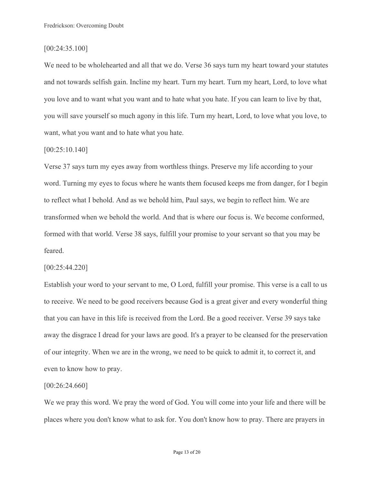## [00:24:35.100]

We need to be wholehearted and all that we do. Verse 36 says turn my heart toward your statutes and not towards selfish gain. Incline my heart. Turn my heart. Turn my heart, Lord, to love what you love and to want what you want and to hate what you hate. If you can learn to live by that, you will save yourself so much agony in this life. Turn my heart, Lord, to love what you love, to want, what you want and to hate what you hate.

## [00:25:10.140]

Verse 37 says turn my eyes away from worthless things. Preserve my life according to your word. Turning my eyes to focus where he wants them focused keeps me from danger, for I begin to reflect what I behold. And as we behold him, Paul says, we begin to reflect him. We are transformed when we behold the world. And that is where our focus is. We become conformed, formed with that world. Verse 38 says, fulfill your promise to your servant so that you may be feared.

#### [00:25:44.220]

Establish your word to your servant to me, O Lord, fulfill your promise. This verse is a call to us to receive. We need to be good receivers because God is a great giver and every wonderful thing that you can have in this life is received from the Lord. Be a good receiver. Verse 39 says take away the disgrace I dread for your laws are good. It's a prayer to be cleansed for the preservation of our integrity. When we are in the wrong, we need to be quick to admit it, to correct it, and even to know how to pray.

#### [00:26:24.660]

We we pray this word. We pray the word of God. You will come into your life and there will be places where you don't know what to ask for. You don't know how to pray. There are prayers in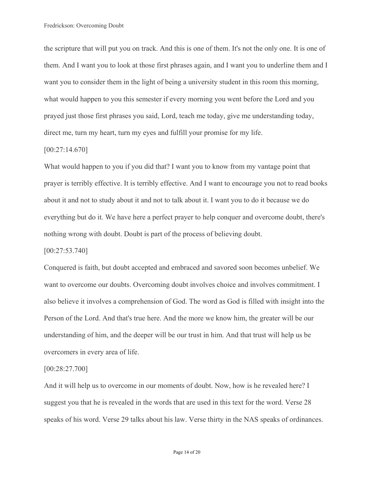the scripture that will put you on track. And this is one of them. It's not the only one. It is one of them. And I want you to look at those first phrases again, and I want you to underline them and I want you to consider them in the light of being a university student in this room this morning, what would happen to you this semester if every morning you went before the Lord and you prayed just those first phrases you said, Lord, teach me today, give me understanding today, direct me, turn my heart, turn my eyes and fulfill your promise for my life.

## [00:27:14.670]

What would happen to you if you did that? I want you to know from my vantage point that prayer is terribly effective. It is terribly effective. And I want to encourage you not to read books about it and not to study about it and not to talk about it. I want you to do it because we do everything but do it. We have here a perfect prayer to help conquer and overcome doubt, there's nothing wrong with doubt. Doubt is part of the process of believing doubt.

## [00:27:53.740]

Conquered is faith, but doubt accepted and embraced and savored soon becomes unbelief. We want to overcome our doubts. Overcoming doubt involves choice and involves commitment. I also believe it involves a comprehension of God. The word as God is filled with insight into the Person of the Lord. And that's true here. And the more we know him, the greater will be our understanding of him, and the deeper will be our trust in him. And that trust will help us be overcomers in every area of life.

#### [00:28:27.700]

And it will help us to overcome in our moments of doubt. Now, how is he revealed here? I suggest you that he is revealed in the words that are used in this text for the word. Verse 28 speaks of his word. Verse 29 talks about his law. Verse thirty in the NAS speaks of ordinances.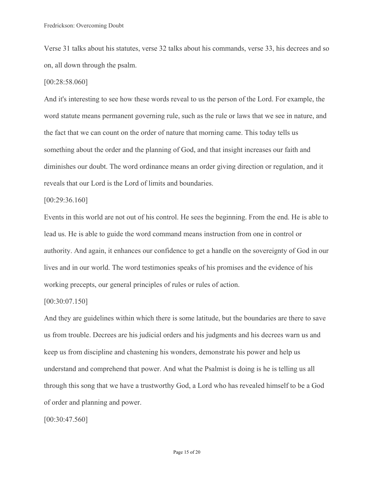Verse 31 talks about his statutes, verse 32 talks about his commands, verse 33, his decrees and so on, all down through the psalm.

#### [00:28:58.060]

And it's interesting to see how these words reveal to us the person of the Lord. For example, the word statute means permanent governing rule, such as the rule or laws that we see in nature, and the fact that we can count on the order of nature that morning came. This today tells us something about the order and the planning of God, and that insight increases our faith and diminishes our doubt. The word ordinance means an order giving direction or regulation, and it reveals that our Lord is the Lord of limits and boundaries.

#### [00:29:36.160]

Events in this world are not out of his control. He sees the beginning. From the end. He is able to lead us. He is able to guide the word command means instruction from one in control or authority. And again, it enhances our confidence to get a handle on the sovereignty of God in our lives and in our world. The word testimonies speaks of his promises and the evidence of his working precepts, our general principles of rules or rules of action.

## [00:30:07.150]

And they are guidelines within which there is some latitude, but the boundaries are there to save us from trouble. Decrees are his judicial orders and his judgments and his decrees warn us and keep us from discipline and chastening his wonders, demonstrate his power and help us understand and comprehend that power. And what the Psalmist is doing is he is telling us all through this song that we have a trustworthy God, a Lord who has revealed himself to be a God of order and planning and power.

[00:30:47.560]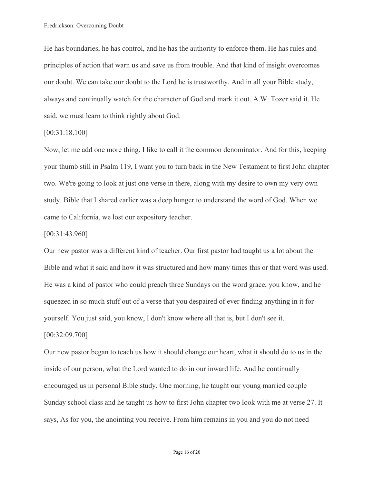He has boundaries, he has control, and he has the authority to enforce them. He has rules and principles of action that warn us and save us from trouble. And that kind of insight overcomes our doubt. We can take our doubt to the Lord he is trustworthy. And in all your Bible study, always and continually watch for the character of God and mark it out. A.W. Tozer said it. He said, we must learn to think rightly about God.

## [00:31:18.100]

Now, let me add one more thing. I like to call it the common denominator. And for this, keeping your thumb still in Psalm 119, I want you to turn back in the New Testament to first John chapter two. We're going to look at just one verse in there, along with my desire to own my very own study. Bible that I shared earlier was a deep hunger to understand the word of God. When we came to California, we lost our expository teacher.

## [00:31:43.960]

Our new pastor was a different kind of teacher. Our first pastor had taught us a lot about the Bible and what it said and how it was structured and how many times this or that word was used. He was a kind of pastor who could preach three Sundays on the word grace, you know, and he squeezed in so much stuff out of a verse that you despaired of ever finding anything in it for yourself. You just said, you know, I don't know where all that is, but I don't see it. [00:32:09.700]

Our new pastor began to teach us how it should change our heart, what it should do to us in the inside of our person, what the Lord wanted to do in our inward life. And he continually encouraged us in personal Bible study. One morning, he taught our young married couple Sunday school class and he taught us how to first John chapter two look with me at verse 27. It says, As for you, the anointing you receive. From him remains in you and you do not need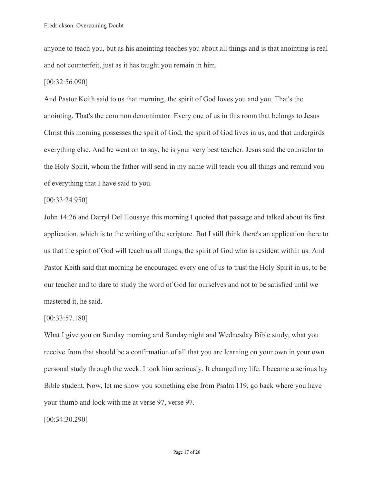anyone to teach you, but as his anointing teaches you about all things and is that anointing is real and not counterfeit, just as it has taught you remain in him.

#### [00:32:56.090]

And Pastor Keith said to us that morning, the spirit of God loves you and you. That's the anointing. That's the common denominator. Every one of us in this room that belongs to Jesus Christ this morning possesses the spirit of God, the spirit of God lives in us, and that undergirds everything else. And he went on to say, he is your very best teacher. Jesus said the counselor to the Holy Spirit, whom the father will send in my name will teach you all things and remind you of everything that I have said to you.

## [00:33:24.950]

John 14:26 and Darryl Del Housaye this morning I quoted that passage and talked about its first application, which is to the writing of the scripture. But I still think there's an application there to us that the spirit of God will teach us all things, the spirit of God who is resident within us. And Pastor Keith said that morning he encouraged every one of us to trust the Holy Spirit in us, to be our teacher and to dare to study the word of God for ourselves and not to be satisfied until we mastered it, he said.

#### [00:33:57.180]

What I give you on Sunday morning and Sunday night and Wednesday Bible study, what you receive from that should be a confirmation of all that you are learning on your own in your own personal study through the week. I took him seriously. It changed my life. I became a serious lay Bible student. Now, let me show you something else from Psalm 119, go back where you have your thumb and look with me at verse 97, verse 97.

[00:34:30.290]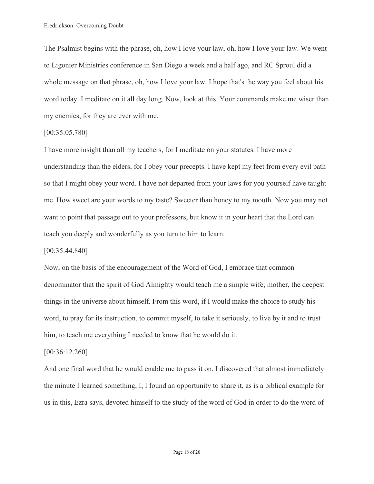The Psalmist begins with the phrase, oh, how I love your law, oh, how I love your law. We went to Ligonier Ministries conference in San Diego a week and a half ago, and RC Sproul did a whole message on that phrase, oh, how I love your law. I hope that's the way you feel about his word today. I meditate on it all day long. Now, look at this. Your commands make me wiser than my enemies, for they are ever with me.

## [00:35:05.780]

I have more insight than all my teachers, for I meditate on your statutes. I have more understanding than the elders, for I obey your precepts. I have kept my feet from every evil path so that I might obey your word. I have not departed from your laws for you yourself have taught me. How sweet are your words to my taste? Sweeter than honey to my mouth. Now you may not want to point that passage out to your professors, but know it in your heart that the Lord can teach you deeply and wonderfully as you turn to him to learn.

## [00:35:44.840]

Now, on the basis of the encouragement of the Word of God, I embrace that common denominator that the spirit of God Almighty would teach me a simple wife, mother, the deepest things in the universe about himself. From this word, if I would make the choice to study his word, to pray for its instruction, to commit myself, to take it seriously, to live by it and to trust him, to teach me everything I needed to know that he would do it.

#### [00:36:12.260]

And one final word that he would enable me to pass it on. I discovered that almost immediately the minute I learned something, I, I found an opportunity to share it, as is a biblical example for us in this, Ezra says, devoted himself to the study of the word of God in order to do the word of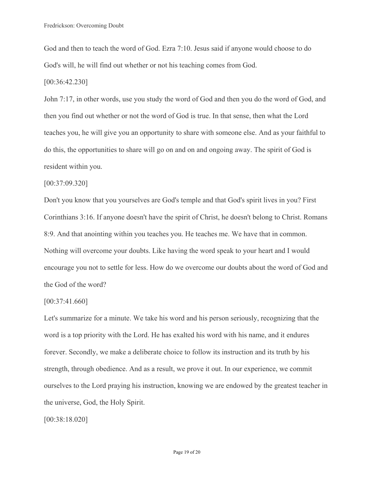God and then to teach the word of God. Ezra 7:10. Jesus said if anyone would choose to do God's will, he will find out whether or not his teaching comes from God.

[00:36:42.230]

John 7:17, in other words, use you study the word of God and then you do the word of God, and then you find out whether or not the word of God is true. In that sense, then what the Lord teaches you, he will give you an opportunity to share with someone else. And as your faithful to do this, the opportunities to share will go on and on and ongoing away. The spirit of God is resident within you.

## [00:37:09.320]

Don't you know that you yourselves are God's temple and that God's spirit lives in you? First Corinthians 3:16. If anyone doesn't have the spirit of Christ, he doesn't belong to Christ. Romans 8:9. And that anointing within you teaches you. He teaches me. We have that in common. Nothing will overcome your doubts. Like having the word speak to your heart and I would encourage you not to settle for less. How do we overcome our doubts about the word of God and the God of the word?

#### [00:37:41.660]

Let's summarize for a minute. We take his word and his person seriously, recognizing that the word is a top priority with the Lord. He has exalted his word with his name, and it endures forever. Secondly, we make a deliberate choice to follow its instruction and its truth by his strength, through obedience. And as a result, we prove it out. In our experience, we commit ourselves to the Lord praying his instruction, knowing we are endowed by the greatest teacher in the universe, God, the Holy Spirit.

[00:38:18.020]